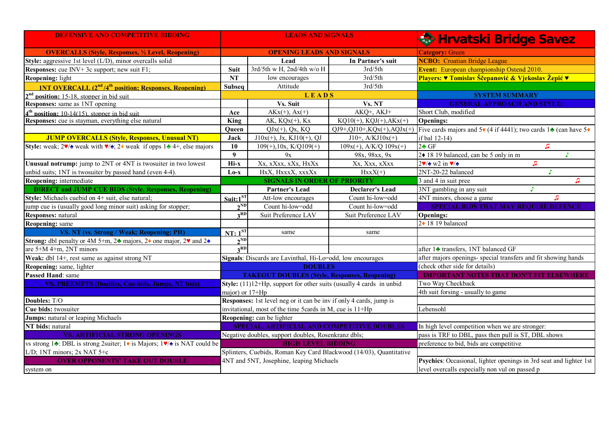| <b>DEFENSIVE AND COMPETITIVE BIDDING</b>                                                               | <b>LEADS AND SIGNALS</b>                                            |                                                            |                                 | <b>Rest Hrvatski Bridge Savez</b>                                                                                 |  |
|--------------------------------------------------------------------------------------------------------|---------------------------------------------------------------------|------------------------------------------------------------|---------------------------------|-------------------------------------------------------------------------------------------------------------------|--|
| <b>OVERCALLS (Style, Responses, 1/2 Level, Reopening)</b>                                              | <b>OPENING LEADS AND SIGNALS</b>                                    |                                                            |                                 | <b>Category: Green</b>                                                                                            |  |
| Style: aggressive 1st level (L/D), minor overcalls solid                                               |                                                                     | Lead                                                       | In Partner's suit               | <b>NCBO:</b> Croatian Bridge League                                                                               |  |
| <b>Responses:</b> cue INV+ $3c$ support; new suit F1;                                                  |                                                                     | 3rd/5th w H, 2nd/4th w/o H                                 | 3rd/5th                         | <b>Event:</b> European championship Ostend 2010.                                                                  |  |
| Reopening: light                                                                                       |                                                                     | low encourages                                             | 3rd/5th                         | Players: <i>V</i> Tomislav Ščepanović & Vjekoslav Žepić V                                                         |  |
| <b>1NT OVERCALL</b> $(2^{nd}/4^{th} \text{ position: Resonness, Reonening)}$                           | <b>Subseq</b>                                                       | Attitude                                                   | 3rd/5th                         |                                                                                                                   |  |
| $2nd$ position: 15-18, stopper in bid suit                                                             |                                                                     | LEADS                                                      |                                 | <b>SYSTEM SUMMARY</b>                                                                                             |  |
| Responses: same as 1NT opening                                                                         |                                                                     | Vs. Suit                                                   | Vs. NT                          | <b>GENERAL APPROACH AND STYLE:</b>                                                                                |  |
| $4th$ nosition: 10-14(15), stopper in bid suit                                                         | Ace                                                                 | $AKx(+), Ax(+)$                                            | AKQ+, AKJ+                      | Short Club, modified                                                                                              |  |
| Responses: cue is stayman, everything else natural                                                     | <b>King</b>                                                         | AK, KQx(+), Kx                                             | $KQ10(+)$ , $KQJ(+)$ , $AKx(+)$ | <b>Openings:</b>                                                                                                  |  |
|                                                                                                        | <b>Queen</b>                                                        | $QJx(+)$ , $Qx$ , $KQ$                                     |                                 | QJ9+,QJ10+,KQx(+),AQJx(+) Five cards majors and $5\bullet$ (4 if 4441); two cards $1\bullet$ (can have $5\bullet$ |  |
| <b>JUMP OVERCALLS (Style, Responses, Unusual NT)</b>                                                   | Jack                                                                | $J10x(+)$ , Jx, KJ10(+), QJ                                | $J10+, A/KJ10x(+)$              | if bal 12-14)                                                                                                     |  |
| Style: weak; $2\sqrt{2}$ weak with $\sqrt{2}$ ; $2\sqrt{2}$ weak if opps 1. 4+, else majors            | 10                                                                  | $109(+), 10x, K/Q109(+)$                                   | $109x(+)$ , A/K/Q $109x(+)$     | $2 \triangleleft GF$<br>л                                                                                         |  |
|                                                                                                        | 9                                                                   | 9x                                                         | 98x, 98xx, 9x                   | 2◆ 18 19 balanced, can be 5 only in m<br>T.                                                                       |  |
| Unusual notrump: jump to 2NT or 4NT is two suiter in two lowest                                        | Hi-x                                                                | Xx, xXxx, xXx, HxXx                                        | Xx, Xxx, xXxx                   | $2\blacktriangledown/\blacktriangle$ w2 in $\blacktriangledown/\blacktriangle$<br>JJ                              |  |
| unbid suits; 1NT is twosuiter by passed hand (even 4-4).                                               | $Lo-x$                                                              | HxX, HxxxX, xxxXx                                          | $HxxX(+)$                       | 2NT-20-22 balanced                                                                                                |  |
| Reopening: intermediate                                                                                |                                                                     | <b>SIGNALS IN ORDER OF PRIORITY</b>                        |                                 | 3 and 4 in suit pree<br>л                                                                                         |  |
| <b>DIRECT and JUMP CUE BIDS (Style, Responses, Reopening)</b>                                          |                                                                     | <b>Partner's Lead</b>                                      | <b>Declarer's Lead</b>          | 3NT gambling in any suit<br>J.                                                                                    |  |
| Style: Michaels cuebid on 4+ suit, else natural;                                                       | $Suit:1^{ST}$                                                       | Att-low encourages                                         | Count hi-low=odd                | n<br>4NT minors, choose a game                                                                                    |  |
| jump cue is (usually good long minor suit) asking for stopper;                                         | $2^{ND}$                                                            | Count hi-low=odd                                           | Count hi-low=odd                | <b>SPECIAL BIDS THAT MAY REQUIRE DEFENCE</b>                                                                      |  |
| Responses: natural                                                                                     | 3 <sup>RD</sup>                                                     | Suit Preference LAV                                        | Suit Preference LAV             | <b>Openings:</b>                                                                                                  |  |
| <b>Reopening:</b> same                                                                                 |                                                                     |                                                            |                                 | 2◆ 18 19 balanced                                                                                                 |  |
| VS. NT (vs. Strong / Weak; Reopening; PH)                                                              | $NT: 1^{ST}$                                                        | same                                                       | same                            |                                                                                                                   |  |
| Strong: dbl penalty or 4M 5+m, 24 majors, 24 one major, 2 $\blacktriangledown$ and 24                  | $2^{ND}$                                                            |                                                            |                                 |                                                                                                                   |  |
| are 5+M 4+m, 2NT minors                                                                                | 2RD                                                                 |                                                            |                                 | after 14 transfers, 1NT balanced GF                                                                               |  |
| Weak: dbl 14+, rest same as against strong NT                                                          |                                                                     | Signals: Discards are Lavinthal, Hi-Lo=odd, low encourages |                                 | after majors openings- special transfers and fit showing hands                                                    |  |
| Reopening: same, lighter                                                                               |                                                                     | <b>DOUBLES</b>                                             |                                 | (check other side for details)                                                                                    |  |
| Passed Hand: same                                                                                      | <b>TAKEOUT DOUBLES (Style, Responses, Reopening)</b>                |                                                            |                                 | <b>IMPORTANT NOTES THAT DON'T FIT ELSEWHERE</b>                                                                   |  |
| VS. PREEMPTS (Doubles, Cue-bids, Jumps, NT bids)                                                       | Style: (11)12+Hp, support for other suits (usually 4 cards in unbid |                                                            |                                 | Two Way Checkback                                                                                                 |  |
|                                                                                                        | major) or 17+Hp                                                     |                                                            |                                 | 4th suit forsing - usually to game                                                                                |  |
| Doubles: T/O                                                                                           | Responses: 1st level neg or it can be inv if only 4 cards, jump is  |                                                            |                                 |                                                                                                                   |  |
| Cue bids: twosuiter                                                                                    | invitational, most of the time 5cards in M, cue is 11+Hp            |                                                            |                                 | Lebensohl                                                                                                         |  |
| Jumps: natural or leaping Michaels                                                                     | Reopening: can be lighter                                           |                                                            |                                 |                                                                                                                   |  |
| NT bids: natural                                                                                       | SPECIAL, ARTIFICIAL AND COMPETITIVE DOUBLES                         |                                                            |                                 | In high level competition when we are stronger:                                                                   |  |
| <b>VS. ARTIFICIAL STRONG OPENINGS</b>                                                                  | Negative doubles, support doubles, Rosenkranz dbls;                 |                                                            |                                 | pass is TRF to DBL, pass then pull is ST, DBL shows                                                               |  |
| vs strong 1 <b>↑</b> : DBL is strong 2 suiter; 1 • is Majors; 1 <b>v</b> / $\triangle$ is NAT could be | <b>HIGH LEVEL BIDDING</b>                                           |                                                            |                                 | preference to bid, bids are competitive                                                                           |  |
| L/D; 1NT minors; 2x NAT 5+c                                                                            | Splinters, Cuebids, Roman Key Card Blackwood (14/03), Quantitative  |                                                            |                                 |                                                                                                                   |  |
| <b>OVER OPPONENTS' TAKE OUT DOUBLE</b>                                                                 | 4NT and 5NT, Josephine, leaping Michaels                            |                                                            |                                 | Psychics: Occasional, lighter openings in 3rd seat and lighter 1st                                                |  |
| system on                                                                                              |                                                                     |                                                            |                                 | level overcalls especially non vul on passed p                                                                    |  |